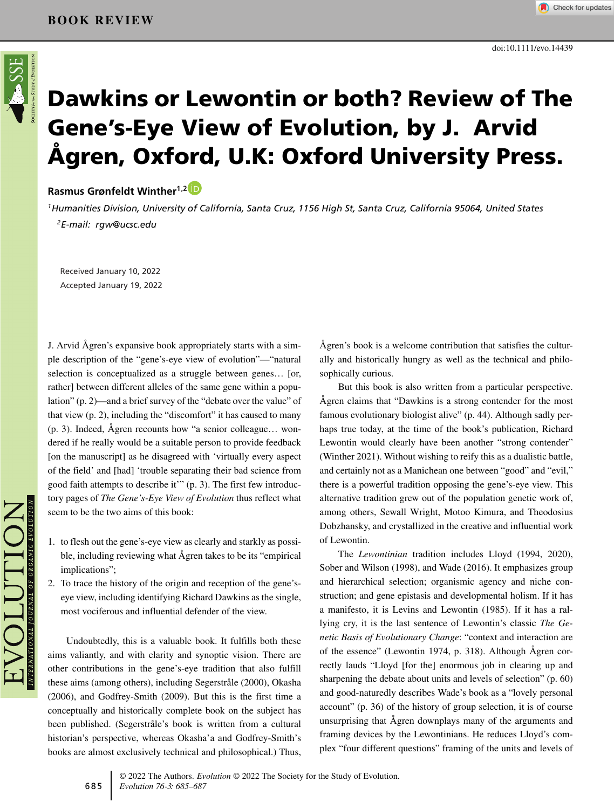# **Dawkins or Lewontin or both? Review of The Gene's-Eye View of Evolution, by J. Arvid Ågren, Oxford, U.K: Oxford University Press.**

## **Rasmus Grønfeldt Winther1,[2](https://orcid.org/0000-0001-8976-3052)**

*1Humanities Division, University of California, Santa Cruz, 1156 High St, Santa Cruz, California 95064, United States 2E-mail: rgw@ucsc.edu*

Received January 10, 2022 Accepted January 19, 2022

J. Arvid Ågren's expansive book appropriately starts with a simple description of the "gene's-eye view of evolution"—"natural selection is conceptualized as a struggle between genes… [or, rather] between different alleles of the same gene within a population" (p. 2)—and a brief survey of the "debate over the value" of that view (p. 2), including the "discomfort" it has caused to many (p. 3). Indeed, Ågren recounts how "a senior colleague… wondered if he really would be a suitable person to provide feedback [on the manuscript] as he disagreed with 'virtually every aspect of the field' and [had] 'trouble separating their bad science from good faith attempts to describe it'" (p. 3). The first few introductory pages of *The Gene's-Eye View of Evolution* thus reflect what seem to be the two aims of this book:

- 1. to flesh out the gene's-eye view as clearly and starkly as possible, including reviewing what Ågren takes to be its "empirical implications";
- 2. To trace the history of the origin and reception of the gene'seye view, including identifying Richard Dawkins as the single, most vociferous and influential defender of the view.

Undoubtedly, this is a valuable book. It fulfills both these aims valiantly, and with clarity and synoptic vision. There are other contributions in the gene's-eye tradition that also fulfill these aims (among others), including Segerstråle (2000), Okasha (2006), and Godfrey-Smith (2009). But this is the first time a conceptually and historically complete book on the subject has been published. (Segerstråle's book is written from a cultural historian's perspective, whereas Okasha'a and Godfrey-Smith's books are almost exclusively technical and philosophical.) Thus,

Ågren's book is a welcome contribution that satisfies the culturally and historically hungry as well as the technical and philosophically curious.

But this book is also written from a particular perspective. Ågren claims that "Dawkins is a strong contender for the most famous evolutionary biologist alive" (p. 44). Although sadly perhaps true today, at the time of the book's publication, Richard Lewontin would clearly have been another "strong contender" (Winther 2021). Without wishing to reify this as a dualistic battle, and certainly not as a Manichean one between "good" and "evil," there is a powerful tradition opposing the gene's-eye view. This alternative tradition grew out of the population genetic work of, among others, Sewall Wright, Motoo Kimura, and Theodosius Dobzhansky, and crystallized in the creative and influential work of Lewontin.

The *Lewontinian* tradition includes Lloyd (1994, 2020), Sober and Wilson (1998), and Wade (2016). It emphasizes group and hierarchical selection; organismic agency and niche construction; and gene epistasis and developmental holism. If it has a manifesto, it is Levins and Lewontin (1985). If it has a rallying cry, it is the last sentence of Lewontin's classic *The Genetic Basis of Evolutionary Change*: "context and interaction are of the essence" (Lewontin 1974, p. 318). Although Ågren correctly lauds "Lloyd [for the] enormous job in clearing up and sharpening the debate about units and levels of selection" (p. 60) and good-naturedly describes Wade's book as a "lovely personal account" (p. 36) of the history of group selection, it is of course unsurprising that Ågren downplays many of the arguments and framing devices by the Lewontinians. He reduces Lloyd's complex "four different questions" framing of the units and levels of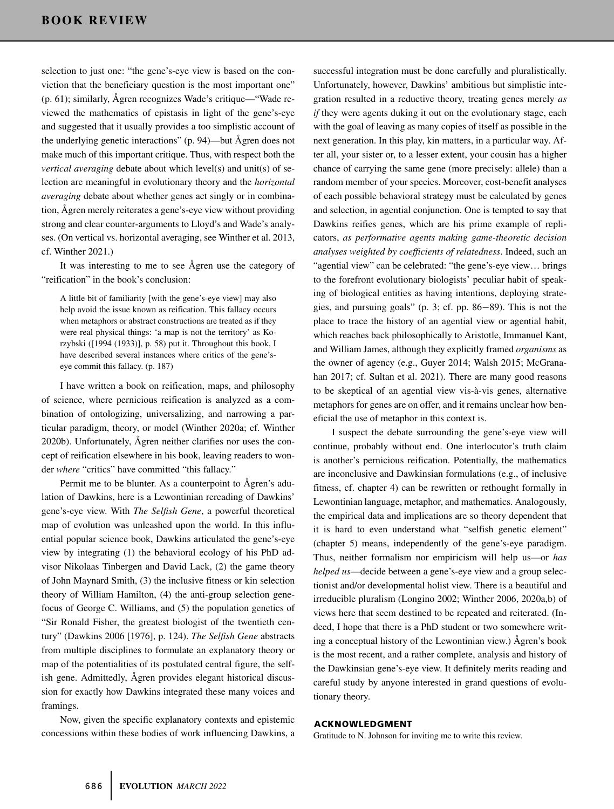selection to just one: "the gene's-eye view is based on the conviction that the beneficiary question is the most important one" (p. 61); similarly, Ågren recognizes Wade's critique—"Wade reviewed the mathematics of epistasis in light of the gene's-eye and suggested that it usually provides a too simplistic account of the underlying genetic interactions" (p. 94)—but Ågren does not make much of this important critique. Thus, with respect both the *vertical averaging* debate about which level(s) and unit(s) of selection are meaningful in evolutionary theory and the *horizontal averaging* debate about whether genes act singly or in combination, Ågren merely reiterates a gene's-eye view without providing strong and clear counter-arguments to Lloyd's and Wade's analyses. (On vertical vs. horizontal averaging, see Winther et al. 2013, cf. Winther 2021.)

It was interesting to me to see Ågren use the category of "reification" in the book's conclusion:

A little bit of familiarity [with the gene's-eye view] may also help avoid the issue known as reification. This fallacy occurs when metaphors or abstract constructions are treated as if they were real physical things: 'a map is not the territory' as Korzybski ([1994 (1933)], p. 58) put it. Throughout this book, I have described several instances where critics of the gene'seye commit this fallacy. (p. 187)

I have written a book on reification, maps, and philosophy of science, where pernicious reification is analyzed as a combination of ontologizing, universalizing, and narrowing a particular paradigm, theory, or model (Winther 2020a; cf. Winther 2020b). Unfortunately, Ågren neither clarifies nor uses the concept of reification elsewhere in his book, leaving readers to wonder *where* "critics" have committed "this fallacy."

Permit me to be blunter. As a counterpoint to Ågren's adulation of Dawkins, here is a Lewontinian rereading of Dawkins' gene's-eye view. With *The Selfish Gene*, a powerful theoretical map of evolution was unleashed upon the world. In this influential popular science book, Dawkins articulated the gene's-eye view by integrating (1) the behavioral ecology of his PhD advisor Nikolaas Tinbergen and David Lack, (2) the game theory of John Maynard Smith, (3) the inclusive fitness or kin selection theory of William Hamilton, (4) the anti-group selection genefocus of George C. Williams, and (5) the population genetics of "Sir Ronald Fisher, the greatest biologist of the twentieth century" (Dawkins 2006 [1976], p. 124). *The Selfish Gene* abstracts from multiple disciplines to formulate an explanatory theory or map of the potentialities of its postulated central figure, the selfish gene. Admittedly, Ågren provides elegant historical discussion for exactly how Dawkins integrated these many voices and framings.

Now, given the specific explanatory contexts and epistemic concessions within these bodies of work influencing Dawkins, a successful integration must be done carefully and pluralistically. Unfortunately, however, Dawkins' ambitious but simplistic integration resulted in a reductive theory, treating genes merely *as if* they were agents duking it out on the evolutionary stage, each with the goal of leaving as many copies of itself as possible in the next generation. In this play, kin matters, in a particular way. After all, your sister or, to a lesser extent, your cousin has a higher chance of carrying the same gene (more precisely: allele) than a random member of your species. Moreover, cost-benefit analyses of each possible behavioral strategy must be calculated by genes and selection, in agential conjunction. One is tempted to say that Dawkins reifies genes, which are his prime example of replicators, *as performative agents making game-theoretic decision analyses weighted by coefficients of relatedness*. Indeed, such an "agential view" can be celebrated: "the gene's-eye view… brings to the forefront evolutionary biologists' peculiar habit of speaking of biological entities as having intentions, deploying strategies, and pursuing goals" (p. 3; cf. pp. 86−89). This is not the place to trace the history of an agential view or agential habit, which reaches back philosophically to Aristotle, Immanuel Kant, and William James, although they explicitly framed *organisms* as the owner of agency (e.g., Guyer 2014; Walsh 2015; McGranahan 2017; cf. Sultan et al. 2021). There are many good reasons to be skeptical of an agential view vis-à-vis genes, alternative metaphors for genes are on offer, and it remains unclear how beneficial the use of metaphor in this context is.

I suspect the debate surrounding the gene's-eye view will continue, probably without end. One interlocutor's truth claim is another's pernicious reification. Potentially, the mathematics are inconclusive and Dawkinsian formulations (e.g., of inclusive fitness, cf. chapter 4) can be rewritten or rethought formally in Lewontinian language, metaphor, and mathematics. Analogously, the empirical data and implications are so theory dependent that it is hard to even understand what "selfish genetic element" (chapter 5) means, independently of the gene's-eye paradigm. Thus, neither formalism nor empiricism will help us—or *has helped us*—decide between a gene's-eye view and a group selectionist and/or developmental holist view. There is a beautiful and irreducible pluralism (Longino 2002; Winther 2006, 2020a,b) of views here that seem destined to be repeated and reiterated. (Indeed, I hope that there is a PhD student or two somewhere writing a conceptual history of the Lewontinian view.) Ågren's book is the most recent, and a rather complete, analysis and history of the Dawkinsian gene's-eye view. It definitely merits reading and careful study by anyone interested in grand questions of evolutionary theory.

#### **ACKNOWLEDGMENT**

Gratitude to N. Johnson for inviting me to write this review.